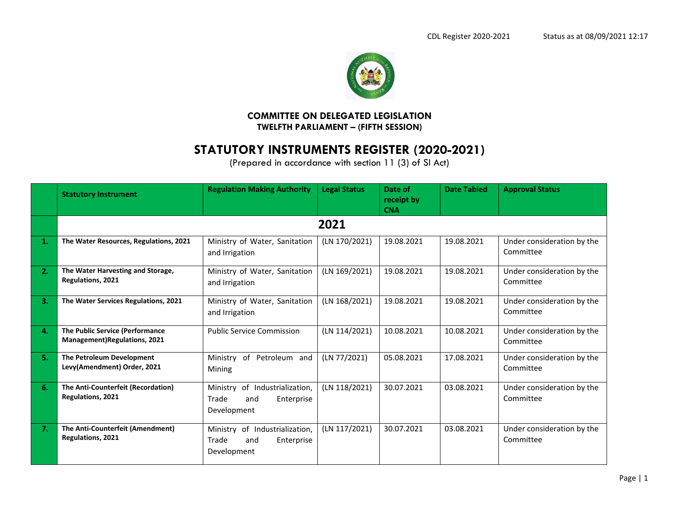

## **COMMITTEE ON DELEGATED LEGISLATION TWELFTH PARLIAMENT – (FIFTH SESSION)**

# **STATUTORY INSTRUMENTS REGISTER (2020-2021)**

(Prepared in accordance with section 11 (3) of SI Act)

|    | <b>Statutory Instrument</b>                                            | <b>Regulation Making Authority</b>                                          | <b>Legal Status</b> | Date of<br>receipt by<br><b>CNA</b> | <b>Date Tabled</b> | <b>Approval Status</b>                  |
|----|------------------------------------------------------------------------|-----------------------------------------------------------------------------|---------------------|-------------------------------------|--------------------|-----------------------------------------|
|    |                                                                        |                                                                             | 2021                |                                     |                    |                                         |
|    | The Water Resources, Regulations, 2021                                 | Ministry of Water, Sanitation<br>and Irrigation                             | (LN 170/2021)       | 19.08.2021                          | 19.08.2021         | Under consideration by the<br>Committee |
| 2. | The Water Harvesting and Storage,<br><b>Regulations, 2021</b>          | Ministry of Water, Sanitation<br>and Irrigation                             | (LN 169/2021)       | 19.08.2021                          | 19.08.2021         | Under consideration by the<br>Committee |
| 3. | The Water Services Regulations, 2021                                   | Ministry of Water, Sanitation<br>and Irrigation                             | (LN 168/2021)       | 19.08.2021                          | 19.08.2021         | Under consideration by the<br>Committee |
| 4. | The Public Service (Performance<br><b>Management)Regulations, 2021</b> | <b>Public Service Commission</b>                                            | (LN 114/2021)       | 10.08.2021                          | 10.08.2021         | Under consideration by the<br>Committee |
| 5. | The Petroleum Development<br>Levy(Amendment) Order, 2021               | of<br>Petroleum and<br>Ministry<br>Mining                                   | (LN 77/2021)        | 05.08.2021                          | 17.08.2021         | Under consideration by the<br>Committee |
| 6. | The Anti-Counterfeit (Recordation)<br><b>Regulations, 2021</b>         | Ministry of Industrialization,<br>Trade<br>Enterprise<br>and<br>Development | (LN 118/2021)       | 30.07.2021                          | 03.08.2021         | Under consideration by the<br>Committee |
| 7. | The Anti-Counterfeit (Amendment)<br><b>Regulations, 2021</b>           | Ministry of Industrialization,<br>Trade<br>Enterprise<br>and<br>Development | (LN 117/2021)       | 30.07.2021                          | 03.08.2021         | Under consideration by the<br>Committee |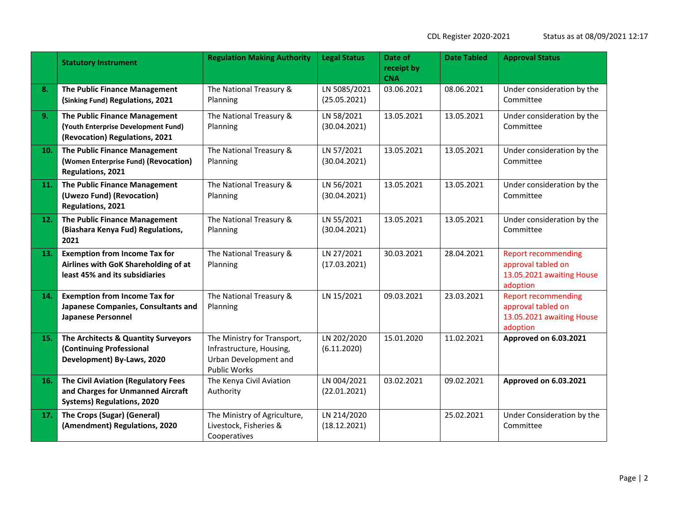|     | <b>Statutory Instrument</b>                                                                                          | <b>Regulation Making Authority</b>                                                                      | <b>Legal Status</b>          | Date of<br>receipt by<br><b>CNA</b> | <b>Date Tabled</b> | <b>Approval Status</b>                                                                    |
|-----|----------------------------------------------------------------------------------------------------------------------|---------------------------------------------------------------------------------------------------------|------------------------------|-------------------------------------|--------------------|-------------------------------------------------------------------------------------------|
| 8.  | The Public Finance Management<br>(Sinking Fund) Regulations, 2021                                                    | The National Treasury &<br>Planning                                                                     | LN 5085/2021<br>(25.05.2021) | 03.06.2021                          | 08.06.2021         | Under consideration by the<br>Committee                                                   |
| 9.  | The Public Finance Management<br>(Youth Enterprise Development Fund)<br>(Revocation) Regulations, 2021               | The National Treasury &<br>Planning                                                                     | LN 58/2021<br>(30.04.2021)   | 13.05.2021                          | 13.05.2021         | Under consideration by the<br>Committee                                                   |
| 10. | The Public Finance Management<br>(Women Enterprise Fund) (Revocation)<br>Regulations, 2021                           | The National Treasury &<br>Planning                                                                     | LN 57/2021<br>(30.04.2021)   | 13.05.2021                          | 13.05.2021         | Under consideration by the<br>Committee                                                   |
| 11. | The Public Finance Management<br>(Uwezo Fund) (Revocation)<br>Regulations, 2021                                      | The National Treasury &<br>Planning                                                                     | LN 56/2021<br>(30.04.2021)   | 13.05.2021                          | 13.05.2021         | Under consideration by the<br>Committee                                                   |
| 12. | The Public Finance Management<br>(Biashara Kenya Fud) Regulations,<br>2021                                           | The National Treasury &<br>Planning                                                                     | LN 55/2021<br>(30.04.2021)   | 13.05.2021                          | 13.05.2021         | Under consideration by the<br>Committee                                                   |
| 13. | <b>Exemption from Income Tax for</b><br>Airlines with GoK Shareholding of at<br>least 45% and its subsidiaries       | The National Treasury &<br>Planning                                                                     | LN 27/2021<br>(17.03.2021)   | 30.03.2021                          | 28.04.2021         | <b>Report recommending</b><br>approval tabled on<br>13.05.2021 awaiting House<br>adoption |
| 14. | <b>Exemption from Income Tax for</b><br>Japanese Companies, Consultants and<br><b>Japanese Personnel</b>             | The National Treasury &<br>Planning                                                                     | LN 15/2021                   | 09.03.2021                          | 23.03.2021         | <b>Report recommending</b><br>approval tabled on<br>13.05.2021 awaiting House<br>adoption |
| 15. | The Architects & Quantity Surveyors<br>(Continuing Professional<br>Development) By-Laws, 2020                        | The Ministry for Transport,<br>Infrastructure, Housing,<br>Urban Development and<br><b>Public Works</b> | LN 202/2020<br>(6.11.2020)   | 15.01.2020                          | 11.02.2021         | Approved on 6.03.2021                                                                     |
| 16. | <b>The Civil Aviation (Regulatory Fees</b><br>and Charges for Unmanned Aircraft<br><b>Systems) Regulations, 2020</b> | The Kenya Civil Aviation<br>Authority                                                                   | LN 004/2021<br>(22.01.2021)  | 03.02.2021                          | 09.02.2021         | Approved on 6.03.2021                                                                     |
| 17. | The Crops (Sugar) (General)<br>(Amendment) Regulations, 2020                                                         | The Ministry of Agriculture,<br>Livestock, Fisheries &<br>Cooperatives                                  | LN 214/2020<br>(18.12.2021)  |                                     | 25.02.2021         | Under Consideration by the<br>Committee                                                   |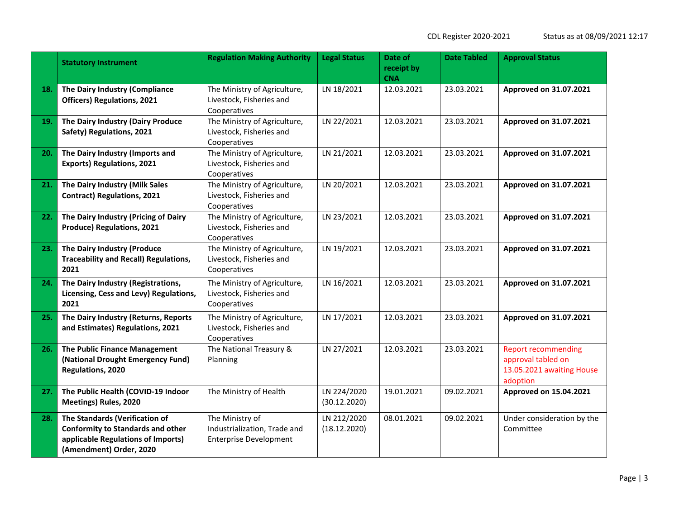| Status as at 08/09/2021 12:17 |  |  |  |  |  |  |  |  |
|-------------------------------|--|--|--|--|--|--|--|--|
|-------------------------------|--|--|--|--|--|--|--|--|

|     | <b>Statutory Instrument</b>                                                                                                                 | <b>Regulation Making Authority</b>                                               | <b>Legal Status</b>         | Date of<br>receipt by<br><b>CNA</b> | <b>Date Tabled</b> | <b>Approval Status</b>                                                                    |  |
|-----|---------------------------------------------------------------------------------------------------------------------------------------------|----------------------------------------------------------------------------------|-----------------------------|-------------------------------------|--------------------|-------------------------------------------------------------------------------------------|--|
| 18. | The Dairy Industry (Compliance<br><b>Officers) Regulations, 2021</b>                                                                        | The Ministry of Agriculture,<br>Livestock, Fisheries and<br>Cooperatives         | LN 18/2021                  | 12.03.2021                          | 23.03.2021         | Approved on 31.07.2021                                                                    |  |
| 19. | The Dairy Industry (Dairy Produce<br>Safety) Regulations, 2021                                                                              | The Ministry of Agriculture,<br>Livestock, Fisheries and<br>Cooperatives         | LN 22/2021                  | 12.03.2021                          | 23.03.2021         | Approved on 31.07.2021                                                                    |  |
| 20. | The Dairy Industry (Imports and<br><b>Exports) Regulations, 2021</b>                                                                        | The Ministry of Agriculture,<br>Livestock, Fisheries and<br>Cooperatives         | LN 21/2021                  | 12.03.2021                          | 23.03.2021         | Approved on 31.07.2021                                                                    |  |
| 21. | The Dairy Industry (Milk Sales<br><b>Contract) Regulations, 2021</b>                                                                        | The Ministry of Agriculture,<br>Livestock, Fisheries and<br>Cooperatives         | LN 20/2021                  | 12.03.2021                          | 23.03.2021         | Approved on 31.07.2021                                                                    |  |
| 22. | The Dairy Industry (Pricing of Dairy<br><b>Produce) Regulations, 2021</b>                                                                   | The Ministry of Agriculture,<br>Livestock, Fisheries and<br>Cooperatives         | LN 23/2021                  | 12.03.2021                          | 23.03.2021         | Approved on 31.07.2021                                                                    |  |
| 23. | The Dairy Industry (Produce<br><b>Traceability and Recall) Regulations,</b><br>2021                                                         | The Ministry of Agriculture,<br>Livestock, Fisheries and<br>Cooperatives         | LN 19/2021                  | 12.03.2021                          | 23.03.2021         | Approved on 31.07.2021                                                                    |  |
| 24. | The Dairy Industry (Registrations,<br>Licensing, Cess and Levy) Regulations,<br>2021                                                        | The Ministry of Agriculture,<br>Livestock, Fisheries and<br>Cooperatives         | LN 16/2021                  | 12.03.2021                          | 23.03.2021         | Approved on 31.07.2021                                                                    |  |
| 25. | The Dairy Industry (Returns, Reports<br>and Estimates) Regulations, 2021                                                                    | The Ministry of Agriculture,<br>Livestock, Fisheries and<br>Cooperatives         | LN 17/2021                  | 12.03.2021                          | 23.03.2021         | Approved on 31.07.2021                                                                    |  |
| 26. | The Public Finance Management<br>(National Drought Emergency Fund)<br>Regulations, 2020                                                     | The National Treasury &<br>Planning                                              | LN 27/2021                  | 12.03.2021                          | 23.03.2021         | <b>Report recommending</b><br>approval tabled on<br>13.05.2021 awaiting House<br>adoption |  |
| 27. | The Public Health (COVID-19 Indoor<br>Meetings) Rules, 2020                                                                                 | The Ministry of Health                                                           | LN 224/2020<br>(30.12.2020) | 19.01.2021                          | 09.02.2021         | <b>Approved on 15.04.2021</b>                                                             |  |
| 28. | The Standards (Verification of<br><b>Conformity to Standards and other</b><br>applicable Regulations of Imports)<br>(Amendment) Order, 2020 | The Ministry of<br>Industrialization, Trade and<br><b>Enterprise Development</b> | LN 212/2020<br>(18.12.2020) | 08.01.2021                          | 09.02.2021         | Under consideration by the<br>Committee                                                   |  |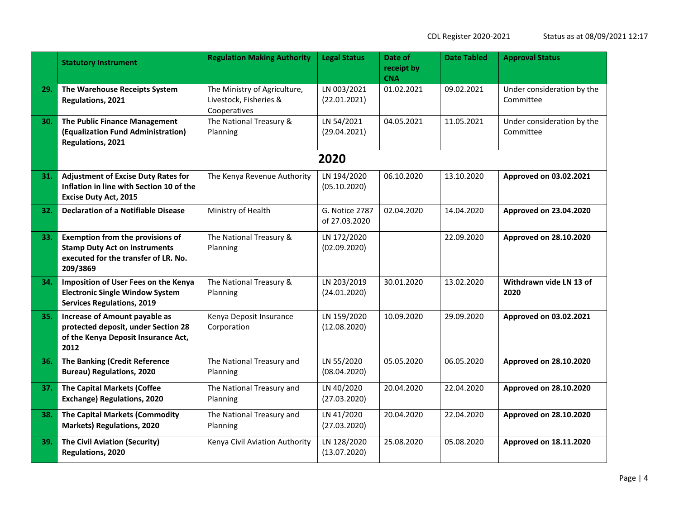|     | <b>Statutory Instrument</b>                                                                                                         | <b>Regulation Making Authority</b>                                     | <b>Legal Status</b>             | Date of<br>receipt by<br><b>CNA</b> | <b>Date Tabled</b> | <b>Approval Status</b>                  |
|-----|-------------------------------------------------------------------------------------------------------------------------------------|------------------------------------------------------------------------|---------------------------------|-------------------------------------|--------------------|-----------------------------------------|
| 29. | The Warehouse Receipts System<br>Regulations, 2021                                                                                  | The Ministry of Agriculture,<br>Livestock, Fisheries &<br>Cooperatives | LN 003/2021<br>(22.01.2021)     | 01.02.2021                          | 09.02.2021         | Under consideration by the<br>Committee |
| 30. | The Public Finance Management<br>(Equalization Fund Administration)<br>Regulations, 2021                                            | The National Treasury &<br>Planning                                    | LN 54/2021<br>(29.04.2021)      | 04.05.2021                          | 11.05.2021         | Under consideration by the<br>Committee |
|     |                                                                                                                                     |                                                                        | 2020                            |                                     |                    |                                         |
| 31. | <b>Adjustment of Excise Duty Rates for</b><br>Inflation in line with Section 10 of the<br><b>Excise Duty Act, 2015</b>              | The Kenya Revenue Authority                                            | LN 194/2020<br>(05.10.2020)     | 06.10.2020                          | 13.10.2020         | Approved on 03.02.2021                  |
| 32. | <b>Declaration of a Notifiable Disease</b>                                                                                          | Ministry of Health                                                     | G. Notice 2787<br>of 27.03.2020 | 02.04.2020                          | 14.04.2020         | Approved on 23.04.2020                  |
| 33. | <b>Exemption from the provisions of</b><br><b>Stamp Duty Act on instruments</b><br>executed for the transfer of LR. No.<br>209/3869 | The National Treasury &<br>Planning                                    | LN 172/2020<br>(02.09.2020)     |                                     | 22.09.2020         | Approved on 28.10.2020                  |
| 34. | Imposition of User Fees on the Kenya<br><b>Electronic Single Window System</b><br><b>Services Regulations, 2019</b>                 | The National Treasury &<br>Planning                                    | LN 203/2019<br>(24.01.2020)     | 30.01.2020                          | 13.02.2020         | Withdrawn vide LN 13 of<br>2020         |
| 35. | Increase of Amount payable as<br>protected deposit, under Section 28<br>of the Kenya Deposit Insurance Act,<br>2012                 | Kenya Deposit Insurance<br>Corporation                                 | LN 159/2020<br>(12.08.2020)     | 10.09.2020                          | 29.09.2020         | Approved on 03.02.2021                  |
| 36. | The Banking (Credit Reference<br><b>Bureau) Regulations, 2020</b>                                                                   | The National Treasury and<br>Planning                                  | LN 55/2020<br>(08.04.2020)      | 05.05.2020                          | 06.05.2020         | Approved on 28.10.2020                  |
| 37. | <b>The Capital Markets (Coffee</b><br><b>Exchange) Regulations, 2020</b>                                                            | The National Treasury and<br>Planning                                  | LN 40/2020<br>(27.03.2020)      | 20.04.2020                          | 22.04.2020         | Approved on 28.10.2020                  |
| 38. | <b>The Capital Markets (Commodity</b><br><b>Markets) Regulations, 2020</b>                                                          | The National Treasury and<br>Planning                                  | LN 41/2020<br>(27.03.2020)      | 20.04.2020                          | 22.04.2020         | Approved on 28.10.2020                  |
| 39. | <b>The Civil Aviation (Security)</b><br>Regulations, 2020                                                                           | Kenya Civil Aviation Authority                                         | LN 128/2020<br>(13.07.2020)     | 25.08.2020                          | 05.08.2020         | Approved on 18.11.2020                  |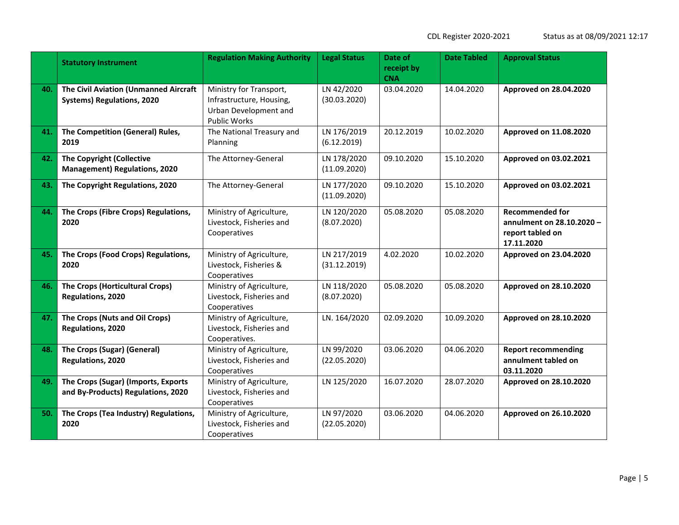| itatus as at 08/09/2021 12:17 |  |  |  |  |  |  |
|-------------------------------|--|--|--|--|--|--|
|-------------------------------|--|--|--|--|--|--|

|     | <b>Statutory Instrument</b>                                                | <b>Regulation Making Authority</b>                                                           | <b>Legal Status</b>         | Date of<br>receipt by<br><b>CNA</b> | <b>Date Tabled</b>                   | <b>Approval Status</b>                                                                |  |
|-----|----------------------------------------------------------------------------|----------------------------------------------------------------------------------------------|-----------------------------|-------------------------------------|--------------------------------------|---------------------------------------------------------------------------------------|--|
| 40. | The Civil Aviation (Unmanned Aircraft<br><b>Systems) Regulations, 2020</b> | Ministry for Transport,<br>Infrastructure, Housing,<br>Urban Development and<br>Public Works | LN 42/2020<br>(30.03.2020)  | 03.04.2020                          | 14.04.2020<br>Approved on 28.04.2020 |                                                                                       |  |
| 41. | The Competition (General) Rules,<br>2019                                   | The National Treasury and<br>Planning                                                        | LN 176/2019<br>(6.12.2019)  | 20.12.2019                          | 10.02.2020                           | Approved on 11.08.2020                                                                |  |
| 42. | <b>The Copyright (Collective</b><br><b>Management) Regulations, 2020</b>   | The Attorney-General                                                                         | LN 178/2020<br>(11.09.2020) | 09.10.2020                          | 15.10.2020                           | Approved on 03.02.2021                                                                |  |
| 43. | The Copyright Regulations, 2020                                            | The Attorney-General                                                                         | LN 177/2020<br>(11.09.2020) | 09.10.2020                          | 15.10.2020                           | Approved on 03.02.2021                                                                |  |
| 44. | The Crops (Fibre Crops) Regulations,<br>2020                               | Ministry of Agriculture,<br>Livestock, Fisheries and<br>Cooperatives                         | LN 120/2020<br>(8.07.2020)  | 05.08.2020                          | 05.08.2020                           | <b>Recommended for</b><br>annulment on 28.10.2020 -<br>report tabled on<br>17.11.2020 |  |
| 45. | The Crops (Food Crops) Regulations,<br>2020                                | Ministry of Agriculture,<br>Livestock, Fisheries &<br>Cooperatives                           | LN 217/2019<br>(31.12.2019) | 4.02.2020                           | 10.02.2020                           | Approved on 23.04.2020                                                                |  |
| 46. | The Crops (Horticultural Crops)<br>Regulations, 2020                       | Ministry of Agriculture,<br>Livestock, Fisheries and<br>Cooperatives                         | LN 118/2020<br>(8.07.2020)  | 05.08.2020                          | 05.08.2020                           | Approved on 28.10.2020                                                                |  |
| 47. | The Crops (Nuts and Oil Crops)<br>Regulations, 2020                        | Ministry of Agriculture,<br>Livestock, Fisheries and<br>Cooperatives.                        | LN. 164/2020                | 02.09.2020                          | 10.09.2020                           | Approved on 28.10.2020                                                                |  |
| 48. | The Crops (Sugar) (General)<br>Regulations, 2020                           | Ministry of Agriculture,<br>Livestock, Fisheries and<br>Cooperatives                         | LN 99/2020<br>(22.05.2020)  | 03.06.2020                          | 04.06.2020                           | <b>Report recommending</b><br>annulment tabled on<br>03.11.2020                       |  |
| 49. | The Crops (Sugar) (Imports, Exports<br>and By-Products) Regulations, 2020  | Ministry of Agriculture,<br>Livestock, Fisheries and<br>Cooperatives                         | LN 125/2020                 | 16.07.2020                          | 28.07.2020                           | Approved on 28.10.2020                                                                |  |
| 50. | The Crops (Tea Industry) Regulations,<br>2020                              | Ministry of Agriculture,<br>Livestock, Fisheries and<br>Cooperatives                         | LN 97/2020<br>(22.05.2020)  | 03.06.2020                          | 04.06.2020                           | Approved on 26.10.2020                                                                |  |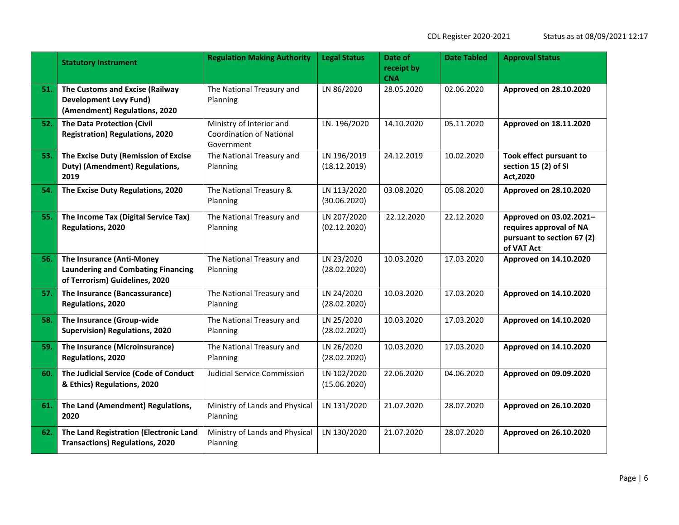|     | <b>Statutory Instrument</b>                                                                                     | <b>Regulation Making Authority</b>                                        | <b>Legal Status</b>         | Date of<br>receipt by<br><b>CNA</b> | <b>Date Tabled</b> | <b>Approval Status</b>                                                                         |
|-----|-----------------------------------------------------------------------------------------------------------------|---------------------------------------------------------------------------|-----------------------------|-------------------------------------|--------------------|------------------------------------------------------------------------------------------------|
| 51. | The Customs and Excise (Railway<br><b>Development Levy Fund)</b><br>(Amendment) Regulations, 2020               | The National Treasury and<br>Planning                                     | LN 86/2020                  | 28.05.2020                          | 02.06.2020         | Approved on 28.10.2020                                                                         |
| 52. | <b>The Data Protection (Civil</b><br><b>Registration) Regulations, 2020</b>                                     | Ministry of Interior and<br><b>Coordination of National</b><br>Government | LN. 196/2020                | 14.10.2020                          | 05.11.2020         | Approved on 18.11.2020                                                                         |
| 53. | The Excise Duty (Remission of Excise<br>Duty) (Amendment) Regulations,<br>2019                                  | The National Treasury and<br>Planning                                     | LN 196/2019<br>(18.12.2019) | 24.12.2019                          | 10.02.2020         | Took effect pursuant to<br>section 15 (2) of SI<br>Act, 2020                                   |
| 54. | The Excise Duty Regulations, 2020                                                                               | The National Treasury &<br>Planning                                       | LN 113/2020<br>(30.06.2020) | 03.08.2020                          | 05.08.2020         | Approved on 28.10.2020                                                                         |
| 55. | The Income Tax (Digital Service Tax)<br>Regulations, 2020                                                       | The National Treasury and<br>Planning                                     | LN 207/2020<br>(02.12.2020) | 22.12.2020                          | 22.12.2020         | Approved on 03.02.2021-<br>requires approval of NA<br>pursuant to section 67 (2)<br>of VAT Act |
| 56. | <b>The Insurance (Anti-Money</b><br><b>Laundering and Combating Financing</b><br>of Terrorism) Guidelines, 2020 | The National Treasury and<br>Planning                                     | LN 23/2020<br>(28.02.2020)  | 10.03.2020                          | 17.03.2020         | Approved on 14.10.2020                                                                         |
| 57. | The Insurance (Bancassurance)<br>Regulations, 2020                                                              | The National Treasury and<br>Planning                                     | LN 24/2020<br>(28.02.2020)  | 10.03.2020                          | 17.03.2020         | Approved on 14.10.2020                                                                         |
| 58. | The Insurance (Group-wide<br>Supervision) Regulations, 2020                                                     | The National Treasury and<br>Planning                                     | LN 25/2020<br>(28.02.2020)  | 10.03.2020                          | 17.03.2020         | Approved on 14.10.2020                                                                         |
| 59. | The Insurance (Microinsurance)<br>Regulations, 2020                                                             | The National Treasury and<br>Planning                                     | LN 26/2020<br>(28.02.2020)  | 10.03.2020                          | 17.03.2020         | Approved on 14.10.2020                                                                         |
| 60. | The Judicial Service (Code of Conduct<br>& Ethics) Regulations, 2020                                            | <b>Judicial Service Commission</b>                                        | LN 102/2020<br>(15.06.2020) | 22.06.2020                          | 04.06.2020         | Approved on 09.09.2020                                                                         |
| 61. | The Land (Amendment) Regulations,<br>2020                                                                       | Ministry of Lands and Physical<br>Planning                                | LN 131/2020                 | 21.07.2020                          | 28.07.2020         | Approved on 26.10.2020                                                                         |
| 62. | The Land Registration (Electronic Land<br><b>Transactions) Regulations, 2020</b>                                | Ministry of Lands and Physical<br>Planning                                | LN 130/2020                 | 21.07.2020                          | 28.07.2020         | Approved on 26.10.2020                                                                         |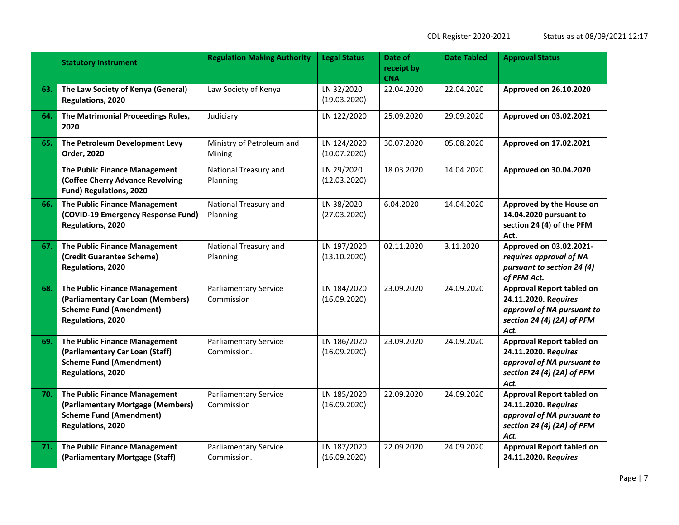|     | <b>Statutory Instrument</b>                                                                                               | <b>Regulation Making Authority</b>          | <b>Legal Status</b>         | Date of<br>receipt by<br><b>CNA</b> | <b>Date Tabled</b> | <b>Approval Status</b>                                                                                                       |
|-----|---------------------------------------------------------------------------------------------------------------------------|---------------------------------------------|-----------------------------|-------------------------------------|--------------------|------------------------------------------------------------------------------------------------------------------------------|
| 63. | The Law Society of Kenya (General)<br>Regulations, 2020                                                                   | Law Society of Kenya                        | LN 32/2020<br>(19.03.2020)  | 22.04.2020                          | 22.04.2020         | Approved on 26.10.2020                                                                                                       |
| 64. | The Matrimonial Proceedings Rules,<br>2020                                                                                | Judiciary                                   | LN 122/2020                 | 25.09.2020                          | 29.09.2020         | Approved on 03.02.2021                                                                                                       |
| 65. | The Petroleum Development Levy<br>Order, 2020                                                                             | Ministry of Petroleum and<br>Mining         | LN 124/2020<br>(10.07.2020) | 30.07.2020                          | 05.08.2020         | Approved on 17.02.2021                                                                                                       |
|     | The Public Finance Management<br>(Coffee Cherry Advance Revolving<br><b>Fund) Regulations, 2020</b>                       | National Treasury and<br>Planning           | LN 29/2020<br>(12.03.2020)  | 18.03.2020                          | 14.04.2020         | Approved on 30.04.2020                                                                                                       |
| 66. | The Public Finance Management<br>(COVID-19 Emergency Response Fund)<br>Regulations, 2020                                  | National Treasury and<br>Planning           | LN 38/2020<br>(27.03.2020)  | 6.04.2020                           | 14.04.2020         | Approved by the House on<br>14.04.2020 pursuant to<br>section 24 (4) of the PFM<br>Act.                                      |
| 67. | <b>The Public Finance Management</b><br>(Credit Guarantee Scheme)<br>Regulations, 2020                                    | National Treasury and<br>Planning           | LN 197/2020<br>(13.10.2020) | 02.11.2020                          | 3.11.2020          | Approved on 03.02.2021-<br>requires approval of NA<br>pursuant to section 24 (4)<br>of PFM Act.                              |
| 68. | The Public Finance Management<br>(Parliamentary Car Loan (Members)<br><b>Scheme Fund (Amendment)</b><br>Regulations, 2020 | <b>Parliamentary Service</b><br>Commission  | LN 184/2020<br>(16.09.2020) | 23.09.2020                          | 24.09.2020         | <b>Approval Report tabled on</b><br>24.11.2020. Requires<br>approval of NA pursuant to<br>section 24 (4) (2A) of PFM<br>Act. |
| 69. | The Public Finance Management<br>(Parliamentary Car Loan (Staff)<br><b>Scheme Fund (Amendment)</b><br>Regulations, 2020   | <b>Parliamentary Service</b><br>Commission. | LN 186/2020<br>(16.09.2020) | 23.09.2020                          | 24.09.2020         | <b>Approval Report tabled on</b><br>24.11.2020. Requires<br>approval of NA pursuant to<br>section 24 (4) (2A) of PFM<br>Act. |
| 70. | The Public Finance Management<br>(Parliamentary Mortgage (Members)<br><b>Scheme Fund (Amendment)</b><br>Regulations, 2020 | <b>Parliamentary Service</b><br>Commission  | LN 185/2020<br>(16.09.2020) | 22.09.2020                          | 24.09.2020         | <b>Approval Report tabled on</b><br>24.11.2020. Requires<br>approval of NA pursuant to<br>section 24 (4) (2A) of PFM<br>Act. |
| 71. | The Public Finance Management<br>(Parliamentary Mortgage (Staff)                                                          | <b>Parliamentary Service</b><br>Commission. | LN 187/2020<br>(16.09.2020) | 22.09.2020                          | 24.09.2020         | <b>Approval Report tabled on</b><br>24.11.2020. Requires                                                                     |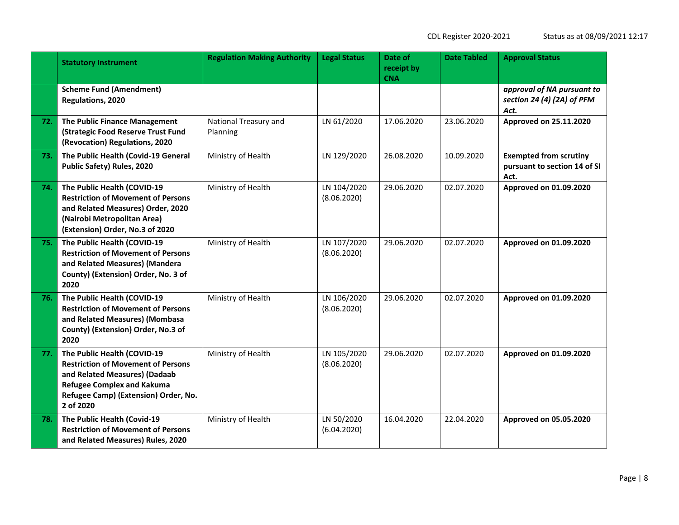| itatus as at 08/09/2021 12:17 |  |  |  |  |  |  |
|-------------------------------|--|--|--|--|--|--|
|-------------------------------|--|--|--|--|--|--|

|     | <b>Statutory Instrument</b>                                                                                                                                                                         | <b>Regulation Making Authority</b> | <b>Legal Status</b>        | Date of<br>receipt by<br><b>CNA</b> | <b>Date Tabled</b> | <b>Approval Status</b>                                                |
|-----|-----------------------------------------------------------------------------------------------------------------------------------------------------------------------------------------------------|------------------------------------|----------------------------|-------------------------------------|--------------------|-----------------------------------------------------------------------|
|     | <b>Scheme Fund (Amendment)</b><br>Regulations, 2020                                                                                                                                                 |                                    |                            |                                     |                    | approval of NA pursuant to<br>section 24 (4) (2A) of PFM<br>Act.      |
| 72. | The Public Finance Management<br>(Strategic Food Reserve Trust Fund<br>(Revocation) Regulations, 2020                                                                                               | National Treasury and<br>Planning  | LN 61/2020                 | 17.06.2020                          | 23.06.2020         | Approved on 25.11.2020                                                |
| 73. | The Public Health (Covid-19 General<br>Public Safety) Rules, 2020                                                                                                                                   | Ministry of Health                 | LN 129/2020                | 26.08.2020                          | 10.09.2020         | <b>Exempted from scrutiny</b><br>pursuant to section 14 of SI<br>Act. |
| 74. | The Public Health (COVID-19<br><b>Restriction of Movement of Persons</b><br>and Related Measures) Order, 2020<br>(Nairobi Metropolitan Area)<br>(Extension) Order, No.3 of 2020                     | Ministry of Health                 | LN 104/2020<br>(8.06.2020) | 29.06.2020                          | 02.07.2020         | Approved on 01.09.2020                                                |
| 75. | The Public Health (COVID-19<br><b>Restriction of Movement of Persons</b><br>and Related Measures) (Mandera<br>County) (Extension) Order, No. 3 of<br>2020                                           | Ministry of Health                 | LN 107/2020<br>(8.06.2020) | 29.06.2020                          | 02.07.2020         | Approved on 01.09.2020                                                |
| 76. | The Public Health (COVID-19<br><b>Restriction of Movement of Persons</b><br>and Related Measures) (Mombasa<br>County) (Extension) Order, No.3 of<br>2020                                            | Ministry of Health                 | LN 106/2020<br>(8.06.2020) | 29.06.2020                          | 02.07.2020         | Approved on 01.09.2020                                                |
| 77. | The Public Health (COVID-19<br><b>Restriction of Movement of Persons</b><br>and Related Measures) (Dadaab<br><b>Refugee Complex and Kakuma</b><br>Refugee Camp) (Extension) Order, No.<br>2 of 2020 | Ministry of Health                 | LN 105/2020<br>(8.06.2020) | 29.06.2020                          | 02.07.2020         | Approved on 01.09.2020                                                |
| 78. | The Public Health (Covid-19<br><b>Restriction of Movement of Persons</b><br>and Related Measures) Rules, 2020                                                                                       | Ministry of Health                 | LN 50/2020<br>(6.04.2020)  | 16.04.2020                          | 22.04.2020         | Approved on 05.05.2020                                                |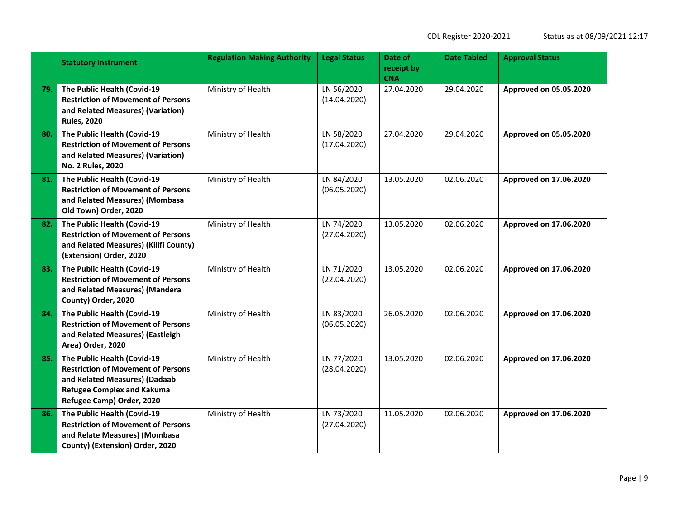|     | <b>Statutory Instrument</b>                                                                                                                                                 | <b>Regulation Making Authority</b>               | <b>Legal Status</b>        | Date of<br>receipt by<br><b>CNA</b> | <b>Date Tabled</b> | <b>Approval Status</b> |
|-----|-----------------------------------------------------------------------------------------------------------------------------------------------------------------------------|--------------------------------------------------|----------------------------|-------------------------------------|--------------------|------------------------|
| 79. | The Public Health (Covid-19<br><b>Restriction of Movement of Persons</b><br>and Related Measures) (Variation)<br><b>Rules, 2020</b>                                         | Ministry of Health                               | LN 56/2020<br>(14.04.2020) | 27.04.2020                          | 29.04.2020         | Approved on 05.05.2020 |
| 80. | The Public Health (Covid-19<br><b>Restriction of Movement of Persons</b><br>and Related Measures) (Variation)<br>No. 2 Rules, 2020                                          | Ministry of Health<br>LN 58/2020<br>(17.04.2020) |                            | 27.04.2020                          | 29.04.2020         | Approved on 05.05.2020 |
| 81. | The Public Health (Covid-19<br><b>Restriction of Movement of Persons</b><br>and Related Measures) (Mombasa<br>Old Town) Order, 2020                                         | Ministry of Health                               | LN 84/2020<br>(06.05.2020) | 13.05.2020                          | 02.06.2020         | Approved on 17.06.2020 |
| 82. | The Public Health (Covid-19<br><b>Restriction of Movement of Persons</b><br>and Related Measures) (Kilifi County)<br>(Extension) Order, 2020                                | Ministry of Health                               | LN 74/2020<br>(27.04.2020) | 13.05.2020                          | 02.06.2020         | Approved on 17.06.2020 |
| 83. | The Public Health (Covid-19<br><b>Restriction of Movement of Persons</b><br>and Related Measures) (Mandera<br>County) Order, 2020                                           | Ministry of Health                               | LN 71/2020<br>(22.04.2020) | 13.05.2020                          | 02.06.2020         | Approved on 17.06.2020 |
| 84. | The Public Health (Covid-19<br><b>Restriction of Movement of Persons</b><br>and Related Measures) (Eastleigh<br>Area) Order, 2020                                           | Ministry of Health                               | LN 83/2020<br>(06.05.2020) | 26.05.2020                          | 02.06.2020         | Approved on 17.06.2020 |
| 85. | The Public Health (Covid-19<br><b>Restriction of Movement of Persons</b><br>and Related Measures) (Dadaab<br><b>Refugee Complex and Kakuma</b><br>Refugee Camp) Order, 2020 | Ministry of Health                               | LN 77/2020<br>(28.04.2020) | 13.05.2020                          | 02.06.2020         | Approved on 17.06.2020 |
| 86. | The Public Health (Covid-19<br><b>Restriction of Movement of Persons</b><br>and Relate Measures) (Mombasa<br>County) (Extension) Order, 2020                                | Ministry of Health                               | LN 73/2020<br>(27.04.2020) | 11.05.2020                          | 02.06.2020         | Approved on 17.06.2020 |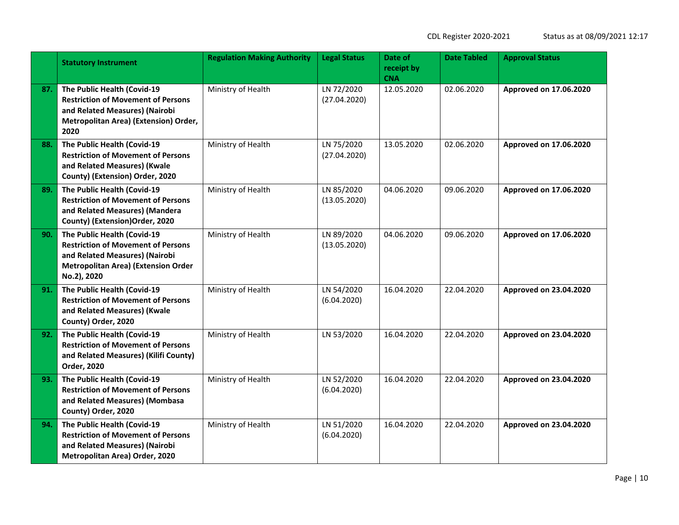|     | <b>Statutory Instrument</b>                                                                                                                                             | <b>Regulation Making Authority</b> | <b>Legal Status</b>        | Date of<br>receipt by<br><b>CNA</b> | <b>Date Tabled</b> | <b>Approval Status</b> |
|-----|-------------------------------------------------------------------------------------------------------------------------------------------------------------------------|------------------------------------|----------------------------|-------------------------------------|--------------------|------------------------|
| 87. | The Public Health (Covid-19<br><b>Restriction of Movement of Persons</b><br>and Related Measures) (Nairobi<br>Metropolitan Area) (Extension) Order,<br>2020             | Ministry of Health                 | LN 72/2020<br>(27.04.2020) | 12.05.2020                          | 02.06.2020         | Approved on 17.06.2020 |
| 88. | The Public Health (Covid-19<br><b>Restriction of Movement of Persons</b><br>and Related Measures) (Kwale<br>County) (Extension) Order, 2020                             | Ministry of Health                 | LN 75/2020<br>(27.04.2020) | 13.05.2020                          | 02.06.2020         | Approved on 17.06.2020 |
| 89. | The Public Health (Covid-19<br><b>Restriction of Movement of Persons</b><br>and Related Measures) (Mandera<br>County) (Extension) Order, 2020                           | Ministry of Health                 | LN 85/2020<br>(13.05.2020) | 04.06.2020                          | 09.06.2020         | Approved on 17.06.2020 |
| 90. | The Public Health (Covid-19<br><b>Restriction of Movement of Persons</b><br>and Related Measures) (Nairobi<br><b>Metropolitan Area) (Extension Order</b><br>No.2), 2020 | Ministry of Health                 | LN 89/2020<br>(13.05.2020) | 04.06.2020                          | 09.06.2020         | Approved on 17.06.2020 |
| 91. | The Public Health (Covid-19<br><b>Restriction of Movement of Persons</b><br>and Related Measures) (Kwale<br>County) Order, 2020                                         | Ministry of Health                 | LN 54/2020<br>(6.04.2020)  | 16.04.2020                          | 22.04.2020         | Approved on 23.04.2020 |
| 92. | The Public Health (Covid-19<br><b>Restriction of Movement of Persons</b><br>and Related Measures) (Kilifi County)<br>Order, 2020                                        | Ministry of Health                 | LN 53/2020                 | 16.04.2020                          | 22.04.2020         | Approved on 23.04.2020 |
| 93. | The Public Health (Covid-19<br><b>Restriction of Movement of Persons</b><br>and Related Measures) (Mombasa<br>County) Order, 2020                                       | Ministry of Health                 | LN 52/2020<br>(6.04.2020)  | 16.04.2020                          | 22.04.2020         | Approved on 23.04.2020 |
| 94. | The Public Health (Covid-19<br><b>Restriction of Movement of Persons</b><br>and Related Measures) (Nairobi<br>Metropolitan Area) Order, 2020                            | Ministry of Health                 | LN 51/2020<br>(6.04.2020)  | 16.04.2020                          | 22.04.2020         | Approved on 23.04.2020 |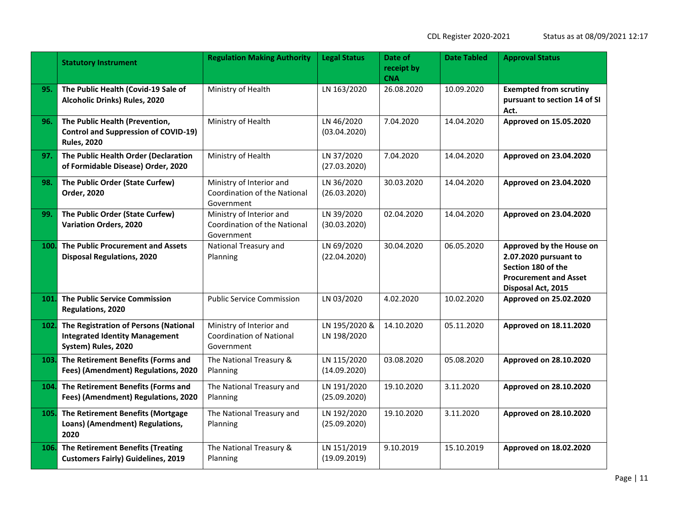| itatus as at 08/09/2021 12:17 |  |  |  |  |  |  |
|-------------------------------|--|--|--|--|--|--|
|-------------------------------|--|--|--|--|--|--|

|      | <b>Statutory Instrument</b>                                                                           | <b>Regulation Making Authority</b>                                        | <b>Legal Status</b>          | Date of<br>receipt by<br><b>CNA</b> | <b>Date Tabled</b> | <b>Approval Status</b>                                                                                                        |
|------|-------------------------------------------------------------------------------------------------------|---------------------------------------------------------------------------|------------------------------|-------------------------------------|--------------------|-------------------------------------------------------------------------------------------------------------------------------|
| 95.  | The Public Health (Covid-19 Sale of<br>Alcoholic Drinks) Rules, 2020                                  | Ministry of Health                                                        | LN 163/2020                  | 26.08.2020                          | 10.09.2020         | <b>Exempted from scrutiny</b><br>pursuant to section 14 of SI<br>Act.                                                         |
| 96.  | The Public Health (Prevention,<br><b>Control and Suppression of COVID-19)</b><br><b>Rules, 2020</b>   | Ministry of Health                                                        | LN 46/2020<br>(03.04.2020)   | 7.04.2020                           | 14.04.2020         | Approved on 15.05.2020                                                                                                        |
| 97.  | The Public Health Order (Declaration<br>of Formidable Disease) Order, 2020                            | Ministry of Health                                                        | LN 37/2020<br>(27.03.2020)   | 7.04.2020                           | 14.04.2020         | Approved on 23.04.2020                                                                                                        |
| 98.  | The Public Order (State Curfew)<br>Order, 2020                                                        | Ministry of Interior and<br>Coordination of the National<br>Government    | LN 36/2020<br>(26.03.2020)   | 30.03.2020                          | 14.04.2020         | Approved on 23.04.2020                                                                                                        |
| 99.  | The Public Order (State Curfew)<br><b>Variation Orders, 2020</b>                                      | Ministry of Interior and<br>Coordination of the National<br>Government    | LN 39/2020<br>(30.03.2020)   | 02.04.2020                          | 14.04.2020         | Approved on 23.04.2020                                                                                                        |
| 100. | The Public Procurement and Assets<br><b>Disposal Regulations, 2020</b>                                | National Treasury and<br>Planning                                         | LN 69/2020<br>(22.04.2020)   | 30.04.2020                          | 06.05.2020         | Approved by the House on<br>2.07.2020 pursuant to<br>Section 180 of the<br><b>Procurement and Asset</b><br>Disposal Act, 2015 |
| 101. | The Public Service Commission<br>Regulations, 2020                                                    | <b>Public Service Commission</b>                                          | LN 03/2020                   | 4.02.2020                           | 10.02.2020         | Approved on 25.02.2020                                                                                                        |
| 102. | The Registration of Persons (National<br><b>Integrated Identity Management</b><br>System) Rules, 2020 | Ministry of Interior and<br><b>Coordination of National</b><br>Government | LN 195/2020 &<br>LN 198/2020 | 14.10.2020                          | 05.11.2020         | Approved on 18.11.2020                                                                                                        |
| 103. | The Retirement Benefits (Forms and<br>Fees) (Amendment) Regulations, 2020                             | The National Treasury &<br>Planning                                       | LN 115/2020<br>(14.09.2020)  | 03.08.2020                          | 05.08.2020         | Approved on 28.10.2020                                                                                                        |
| 104. | The Retirement Benefits (Forms and<br>Fees) (Amendment) Regulations, 2020                             | The National Treasury and<br>Planning                                     | LN 191/2020<br>(25.09.2020)  | 19.10.2020                          | 3.11.2020          | Approved on 28.10.2020                                                                                                        |
| 105. | The Retirement Benefits (Mortgage<br>Loans) (Amendment) Regulations,<br>2020                          | The National Treasury and<br>Planning                                     | LN 192/2020<br>(25.09.2020)  | 19.10.2020                          | 3.11.2020          | Approved on 28.10.2020                                                                                                        |
| 106. | The Retirement Benefits (Treating<br><b>Customers Fairly) Guidelines, 2019</b>                        | The National Treasury &<br>Planning                                       | LN 151/2019<br>(19.09.2019)  | 9.10.2019                           | 15.10.2019         | Approved on 18.02.2020                                                                                                        |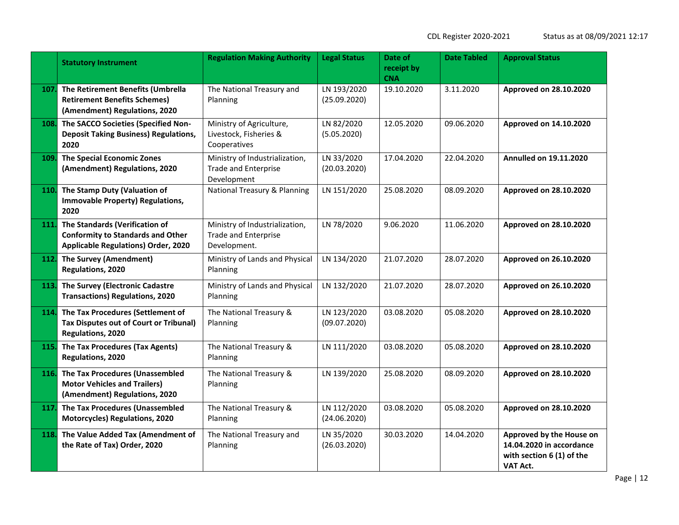|      | <b>Statutory Instrument</b>                                                                                              | <b>Regulation Making Authority</b>                                            | <b>Legal Status</b>         | Date of<br>receipt by<br><b>CNA</b> | <b>Date Tabled</b> | <b>Approval Status</b>                                                                        |
|------|--------------------------------------------------------------------------------------------------------------------------|-------------------------------------------------------------------------------|-----------------------------|-------------------------------------|--------------------|-----------------------------------------------------------------------------------------------|
| 107. | The Retirement Benefits (Umbrella<br><b>Retirement Benefits Schemes)</b><br>(Amendment) Regulations, 2020                | The National Treasury and<br>Planning                                         | LN 193/2020<br>(25.09.2020) | 19.10.2020                          | 3.11.2020          | Approved on 28.10.2020                                                                        |
| 108. | The SACCO Societies (Specified Non-<br><b>Deposit Taking Business) Regulations,</b><br>2020                              | Ministry of Agriculture,<br>Livestock, Fisheries &<br>Cooperatives            | LN 82/2020<br>(5.05.2020)   | 12.05.2020                          | 09.06.2020         | Approved on 14.10.2020                                                                        |
| 109. | <b>The Special Economic Zones</b><br>(Amendment) Regulations, 2020                                                       | Ministry of Industrialization,<br><b>Trade and Enterprise</b><br>Development  | LN 33/2020<br>(20.03.2020)  | 17.04.2020                          | 22.04.2020         | <b>Annulled on 19.11.2020</b>                                                                 |
| 110. | The Stamp Duty (Valuation of<br><b>Immovable Property) Regulations,</b><br>2020                                          | <b>National Treasury &amp; Planning</b>                                       | LN 151/2020                 | 25.08.2020                          | 08.09.2020         | Approved on 28.10.2020                                                                        |
| 111. | The Standards (Verification of<br><b>Conformity to Standards and Other</b><br><b>Applicable Regulations) Order, 2020</b> | Ministry of Industrialization,<br><b>Trade and Enterprise</b><br>Development. | LN 78/2020                  | 9.06.2020                           | 11.06.2020         | Approved on 28.10.2020                                                                        |
| 112. | <b>The Survey (Amendment)</b><br>Regulations, 2020                                                                       | Ministry of Lands and Physical<br>Planning                                    | LN 134/2020                 | 21.07.2020                          | 28.07.2020         | Approved on 26.10.2020                                                                        |
| 113  | The Survey (Electronic Cadastre<br><b>Transactions) Regulations, 2020</b>                                                | Ministry of Lands and Physical<br>Planning                                    | LN 132/2020                 | 21.07.2020                          | 28.07.2020         | Approved on 26.10.2020                                                                        |
| 114. | The Tax Procedures (Settlement of<br><b>Tax Disputes out of Court or Tribunal)</b><br>Regulations, 2020                  | The National Treasury &<br>Planning                                           | LN 123/2020<br>(09.07.2020) | 03.08.2020                          | 05.08.2020         | Approved on 28.10.2020                                                                        |
| 115. | The Tax Procedures (Tax Agents)<br>Regulations, 2020                                                                     | The National Treasury &<br>Planning                                           | LN 111/2020                 | 03.08.2020                          | 05.08.2020         | Approved on 28.10.2020                                                                        |
| 116. | The Tax Procedures (Unassembled<br><b>Motor Vehicles and Trailers)</b><br>(Amendment) Regulations, 2020                  | The National Treasury &<br>Planning                                           | LN 139/2020                 | 25.08.2020                          | 08.09.2020         | Approved on 28.10.2020                                                                        |
| 117  | The Tax Procedures (Unassembled<br><b>Motorcycles) Regulations, 2020</b>                                                 | The National Treasury &<br>Planning                                           | LN 112/2020<br>(24.06.2020) | 03.08.2020                          | 05.08.2020         | Approved on 28.10.2020                                                                        |
| 118. | The Value Added Tax (Amendment of<br>the Rate of Tax) Order, 2020                                                        | The National Treasury and<br>Planning                                         | LN 35/2020<br>(26.03.2020)  | 30.03.2020                          | 14.04.2020         | Approved by the House on<br>14.04.2020 in accordance<br>with section 6 (1) of the<br>VAT Act. |